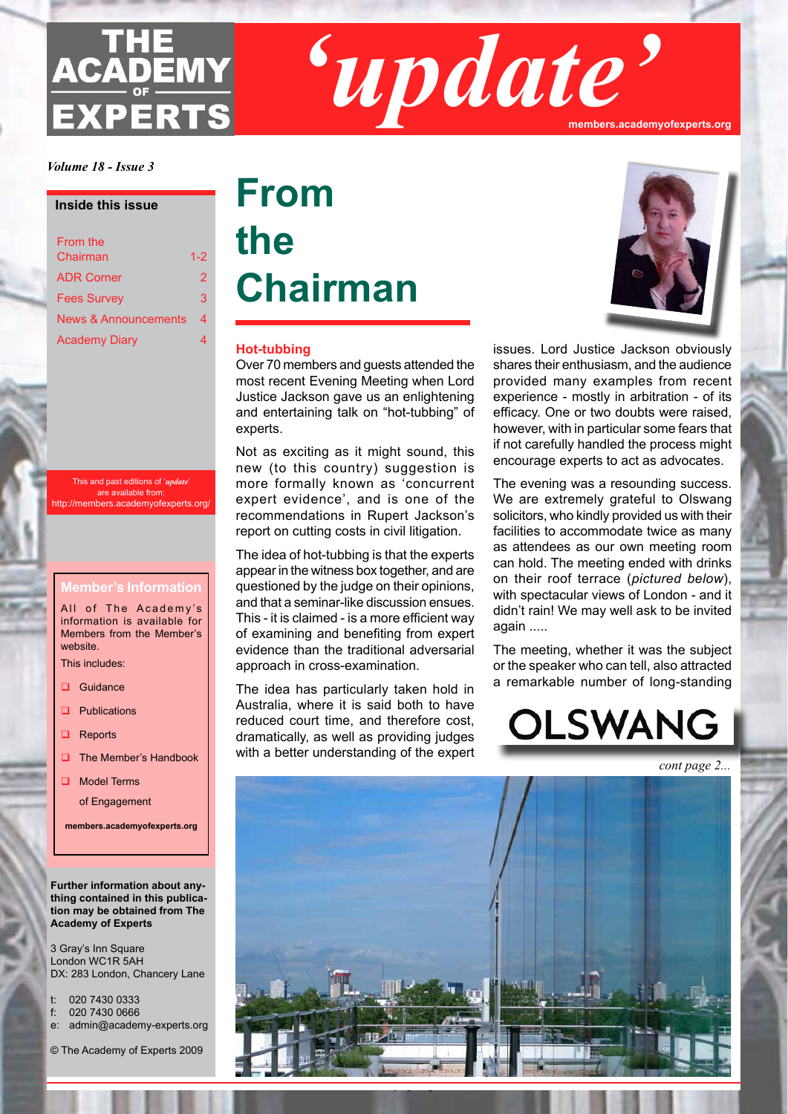# **ACADEMY EXPERTS**

*'update'* **members.academyofexperts.org**

*Volume 18 - Issue 3*

#### **Inside this issue**

| From the             |         |
|----------------------|---------|
| Chairman             | $1 - 2$ |
| <b>ADR Corner</b>    | 2       |
| <b>Fees Survey</b>   | 3       |
| News & Announcements | 4       |
| <b>Academy Diary</b> |         |
|                      |         |

This and past editions of '*update*' are available from: http://members.academyofexperts.org/

#### **Member's Information**

All of The Academy's information is available for Members from the Member's website.

This includes:

- Guidance
- $\Box$  Publications
- $\Box$  Reports
- $\Box$  The Member's Handbook

**Q** Model Terms

of Engagement

**members.academyofexperts.org**

#### **Further information about anything contained in this publication may be obtained from The Academy of Experts**

3 Gray's Inn Square London WC1R 5AH DX: 283 London, Chancery Lane

- t: 020 7430 0333
- f: 020 7430 0666
- e: admin@academy-experts.org

© The Academy of Experts 2009

## **From the Chairman**

#### **Hot-tubbing**

Over 70 members and guests attended the most recent Evening Meeting when Lord Justice Jackson gave us an enlightening and entertaining talk on "hot-tubbing" of experts.

Not as exciting as it might sound, this new (to this country) suggestion is more formally known as 'concurrent expert evidence', and is one of the recommendations in Rupert Jackson's report on cutting costs in civil litigation.

The idea of hot-tubbing is that the experts appear in the witness box together, and are questioned by the judge on their opinions, and that a seminar-like discussion ensues. This - it is claimed - is a more efficient way of examining and benefiting from expert evidence than the traditional adversarial approach in cross-examination.

The idea has particularly taken hold in Australia, where it is said both to have reduced court time, and therefore cost, dramatically, as well as providing judges with a better understanding of the expert

*The Academy of Experts*



issues. Lord Justice Jackson obviously shares their enthusiasm, and the audience provided many examples from recent experience - mostly in arbitration - of its efficacy. One or two doubts were raised, however, with in particular some fears that if not carefully handled the process might encourage experts to act as advocates.

The evening was a resounding success. We are extremely grateful to Olswang solicitors, who kindly provided us with their facilities to accommodate twice as many as attendees as our own meeting room can hold. The meeting ended with drinks on their roof terrace (*pictured below*), with spectacular views of London - and it didn't rain! We may well ask to be invited again .....

The meeting, whether it was the subject or the speaker who can tell, also attracted a remarkable number of long-standing

OLSWANG

*cont page 2...*



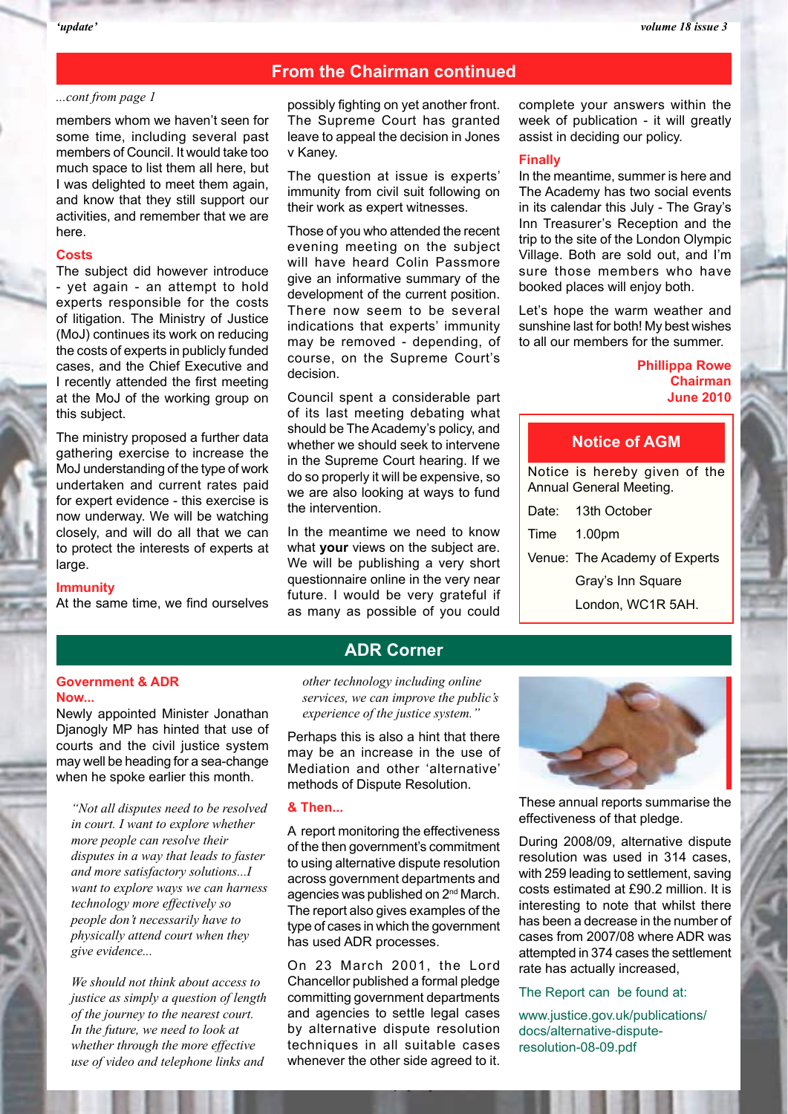#### **From the Chairman continued**

#### *...cont from page 1*

members whom we haven't seen for some time, including several past members of Council. It would take too much space to list them all here, but I was delighted to meet them again, and know that they still support our activities, and remember that we are here.

#### **Costs**

The subject did however introduce - yet again - an attempt to hold experts responsible for the costs of litigation. The Ministry of Justice (MoJ) continues its work on reducing the costs of experts in publicly funded cases, and the Chief Executive and I recently attended the first meeting at the MoJ of the working group on this subject.

The ministry proposed a further data gathering exercise to increase the MoJ understanding of the type of work undertaken and current rates paid for expert evidence - this exercise is now underway. We will be watching closely, and will do all that we can to protect the interests of experts at large.

#### **Immunity**

At the same time, we find ourselves

possibly fighting on yet another front. The Supreme Court has granted leave to appeal the decision in Jones v Kaney.

The question at issue is experts' immunity from civil suit following on their work as expert witnesses.

Those of you who attended the recent evening meeting on the subject will have heard Colin Passmore give an informative summary of the development of the current position. There now seem to be several indications that experts' immunity may be removed - depending, of course, on the Supreme Court's decision.

Council spent a considerable part of its last meeting debating what should be The Academy's policy, and whether we should seek to intervene in the Supreme Court hearing. If we do so properly it will be expensive, so we are also looking at ways to fund the intervention.

In the meantime we need to know what **your** views on the subject are. We will be publishing a very short questionnaire online in the very near future. I would be very grateful if as many as possible of you could

complete your answers within the week of publication - it will greatly assist in deciding our policy.

#### **Finally**

In the meantime, summer is here and The Academy has two social events in its calendar this July - The Gray's Inn Treasurer's Reception and the trip to the site of the London Olympic Village. Both are sold out, and I'm sure those members who have booked places will enjoy both.

Let's hope the warm weather and sunshine last for both! My best wishes to all our members for the summer.

#### **Phillippa Rowe Chairman June 2010**

#### **Notice of AGM**

Notice is hereby given of the Annual General Meeting.

| Date: 13th October            |  |
|-------------------------------|--|
| Time 1.00pm                   |  |
| Venue: The Academy of Experts |  |
| Gray's Inn Square             |  |
| London, WC1R 5AH.             |  |

#### **Government & ADR Now...**

Newly appointed Minister Jonathan Djanogly MP has hinted that use of courts and the civil justice system may well be heading for a sea-change when he spoke earlier this month.

*"Not all disputes need to be resolved in court. I want to explore whether more people can resolve their disputes in a way that leads to faster and more satisfactory solutions...I want to explore ways we can harness technology more effectively so people don't necessarily have to physically attend court when they give evidence...*

*We should not think about access to justice as simply a question of length of the journey to the nearest court. In the future, we need to look at whether through the more effective use of video and telephone links and* 

*other technology including online services, we can improve the public's experience of the justice system."*

**ADR Corner**

Perhaps this is also a hint that there may be an increase in the use of Mediation and other 'alternative' methods of Dispute Resolution.

#### **& Then...**

A report monitoring the effectiveness of the then government's commitment to using alternative dispute resolution across government departments and agencies was published on 2nd March. The report also gives examples of the type of cases in which the government has used ADR processes.

On 23 March 2001, the Lord Chancellor published a formal pledge committing government departments and agencies to settle legal cases by alternative dispute resolution techniques in all suitable cases whenever the other side agreed to it.

*The Academy of Experts*



These annual reports summarise the effectiveness of that pledge.

During 2008/09, alternative dispute resolution was used in 314 cases, with 259 leading to settlement, saving costs estimated at £90.2 million. It is interesting to note that whilst there has been a decrease in the number of cases from 2007/08 where ADR was attempted in 374 cases the settlement rate has actually increased,

#### The Report can be found at:

www.justice.gov.uk/publications/ docs/alternative-disputeresolution-08-09.pdf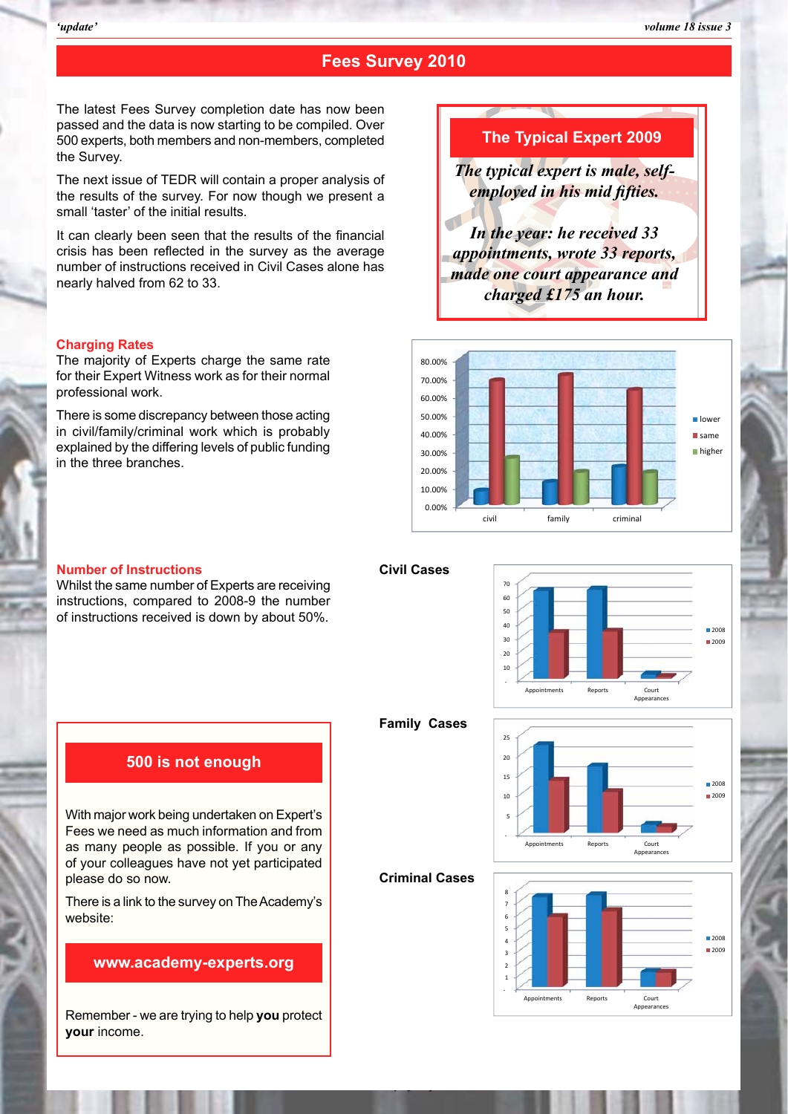#### **Fees Survey 2010**

The latest Fees Survey completion date has now been<br>passed and the data is now starting to be compiled. Over The latest Fees Survey completion date has now been passed and the data is now starting to be compiled. Over 500 experts, both members and non-members, completed the Survey.

the Survey.<br>
The next issue of TEDR will contain a proper analysis of<br>
the results of the survey. For now though we present a The next issue of TEDR will contain a proper analysis of the results of the survey. For now though we present a small 'taster' of the initial results.

It can clearly been seen that the results<br>crisis has been reflected in the survey a<br>number of instructions received in Civil C It can clearly been seen that the results of the financial crisis has been reflected in the survey as the average number of instructions received in Civil Cases alone has nearly halved from 62 to 33.

### **Experience Security Security Security Security Security Security Security Security Security Security Security Security Security Security Security Security Security Security Security Security Security Security Security Sec Charging Rates**

Frie Hiajonty of Experts charge the same rate<br>for their Expert Witness work as for their normal<br>professional work.<br>There is some discrepancy between those acting The majority of Experts charge the same rate professional work.

There is some discrepancy between those acting in civil/family/criminal work which is probably explained by the differing levels of public funding in the three branches.

#### **The Typical Expert 2009**

*The typical expert is male, selfemployed in his mid fifties.* 

*In the year: he received 33 appointments, wrote 33 reports, made one court appearance and charged £175 an hour.*



#### **Number of Instructions**

**Number of Instructions**<br>Whilst the same number of Experts are receiving instructions, compared to 2008-9 the number of instructions received is down by about 50%.



**Family Cases**

**Civil Cases**



Reports

Appearances

 $2008$ 2009

**Criminal Cases**

*The Academy of Experts*



With major work being undertaken on Expert's Fees we need as much information and from as many people as possible. If you or any of your colleagues have not yet participated please do so now.

There is a link to the survey on The Academy's website:

#### **www.academy-experts.org**

Remember - we are trying to help **you** protect **your** income.